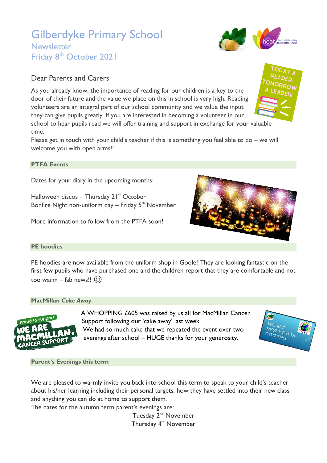# Gilberdyke Primary School

### Dear Parents and Carers

As you already know, the importance of reading for our children is a key to the door of their future and the value we place on this in school is very high. Reading volunteers are an integral part of our school community and we value the input they can give pupils greatly. If you are interested in becoming a volunteer in our

school to hear pupils read we will offer training and support in exchange for your valuable time.

Please get in touch with your child's teacher if this is something you feel able to do – we will welcome you with open arms!!

#### **PTFA Events**

Dates for your diary in the upcoming months:

Halloween discos - Thursday  $21^{st}$  October Bonfire Night non-uniform day  $-$  Friday 5<sup>th</sup> November

More information to follow from the PTFA soon!



PE hoodies are now available from the uniform shop in Goole! They are looking fantastic on the first few pupils who have purchased one and the children report that they are comfortable and not too warm – fab news!!  $\circled{c}$ 

#### **MacMillan** *Cake Away*



A WHOPPING £605 was raised by us all for MacMillan Cancer Support following our 'cake away' last week. We had so much cake that we repeated the event over two evenings after school – HUGE thanks for your generosity.



**Parent's Evenings this term**

We are pleased to warmly invite you back into school this term to speak to your child's teacher about his/her learning including their personal targets, how they have settled into their new class and anything you can do at home to support them.

The dates for the autumn term parent's evenings are:

Tuesday 2<sup>nd</sup> November Thursday 4<sup>th</sup> November

## **Newsletter** Friday 8<sup>th</sup> October 2021





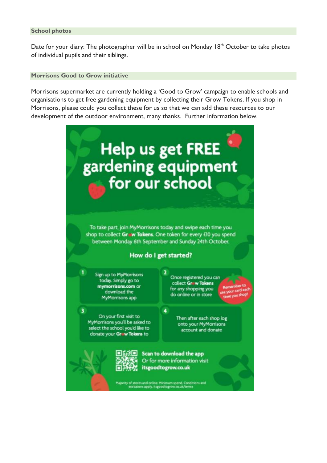#### **School photos**

Date for your diary: The photographer will be in school on Monday 18<sup>th</sup> October to take photos of individual pupils and their siblings.

#### **Morrisons Good to Grow initiative**

Morrisons supermarket are currently holding a 'Good to Grow' campaign to enable schools and organisations to get free gardening equipment by collecting their Grow Tokens. If you shop in Morrisons, please could you collect these for us so that we can add these resources to our development of the outdoor environment, many thanks. Further information below.